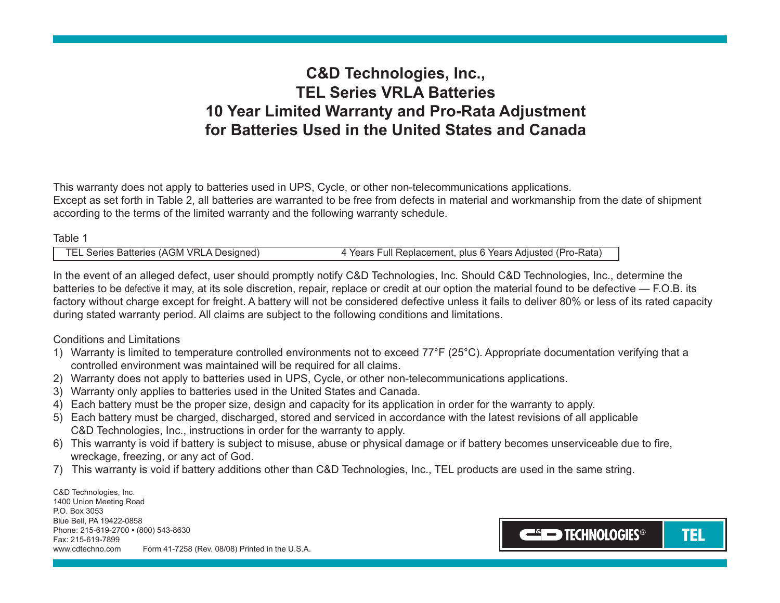# **C&D Technologies, Inc., TEL Series VRLA Batteries 10 Year Limited Warranty and Pro-Rata Adjustment for Batteries Used in the United States and Canada**

This warranty does not apply to batteries used in UPS, Cycle, or other non-telecommunications applications. Except as set forth in Table 2, all batteries are warranted to be free from defects in material and workmanship from the date of shipment according to the terms of the limited warranty and the following warranty schedule.

#### Table 1

| TEL Series Batteries (AGM VRLA Designed) | 4 Years Full Replacement, plus 6 Years Adjusted (Pro-Rata) |
|------------------------------------------|------------------------------------------------------------|

In the event of an alleged defect, user should promptly notify C&D Technologies, Inc. Should C&D Technologies, Inc., determine the batteries to be defective it may, at its sole discretion, repair, replace or credit at our option the material found to be defective — F.O.B. its factory without charge except for freight. A battery will not be considered defective unless it fails to deliver 80% or less of its rated capacity during stated warranty period. All claims are subject to the following conditions and limitations.

#### Conditions and Limitations

- 1) Warranty is limited to temperature controlled environments not to exceed 77°F (25°C). Appropriate documentation verifying that a controlled environment was maintained will be required for all claims.
- 2) Warranty does not apply to batteries used in UPS, Cycle, or other non-telecommunications applications.
- 3) Warranty only applies to batteries used in the United States and Canada.
- 4) Each battery must be the proper size, design and capacity for its application in order for the warranty to apply.
- 5) Each battery must be charged, discharged, stored and serviced in accordance with the latest revisions of all applicable C&D Technologies, Inc., instructions in order for the warranty to apply.
- 6) This warranty is void if battery is subject to misuse, abuse or physical damage or if battery becomes unserviceable due to fire, wreckage, freezing, or any act of God.
- 7) This warranty is void if battery additions other than C&D Technologies, Inc., TEL products are used in the same string.

C&D Technologies, Inc. 1400 Union Meeting Road P.O. Box 3053 Blue Bell, PA 19422-0858 Phone: 215-619-2700 • (800) 543-8630 Fax: 215-619-7899 www.cdtechno.com Form 41-7258 (Rev. 08/08) Printed in the U.S.A.